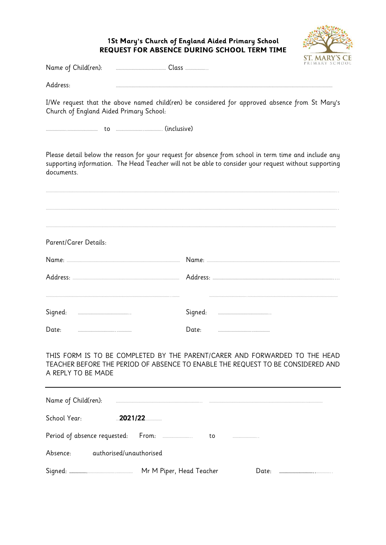## **1St Mary's Church of England Aided Primary School REQUEST FOR ABSENCE DURING SCHOOL TERM TIME**



Name of Child(ren): ……………………………………… Class ………………..

Address: ……………………………………………………………………………………………………………………………………………………………………………

I/We request that the above named child(ren) be considered for approved absence from St Mary's Church of England Aided Primary School:

……………….……………………… to …………………….……………. (inclusive)

Please detail below the reason for your request for absence from school in term time and include any supporting information. The Head Teacher will not be able to consider your request without supporting documents.

………………………………………………………………………………………………………………………………………………………………………………………………………………………………………..

………………………………………………………………………………………………………………………………………………………………………………………………………………………………………..

………………………………………………………………………………………………………………………………………………………………………………………………………………………………………

Parent/Carer Details: Name: ………………………………………………………………………………………… Name: ………………………………………………………………………………………………………… Address: …………………………………………………………………………………… Address: ……………………………………………………………………………………………….... …………………………………………………………………………………………………..…… …………………………….……………………………………………………………………… Signed: ……………………………………….. Signed: ……………………………………….. Date: ……………………………..………… Date: ………………………….……………

THIS FORM IS TO BE COMPLETED BY THE PARENT/CARER AND FORWARDED TO THE HEAD TEACHER BEFORE THE PERIOD OF ABSENCE TO ENABLE THE REQUEST TO BE CONSIDERED AND A REPLY TO BE MADE

| Name of Child(ren):                 |         |                          |    |                        |  |
|-------------------------------------|---------|--------------------------|----|------------------------|--|
| School Year:                        | 2021/22 |                          |    |                        |  |
| Period of absence requested:        |         | From:                    | to | ********************** |  |
| Absence:<br>authorised/unauthorised |         |                          |    |                        |  |
| Signed:                             |         | Mr M Piper, Head Teacher |    | ۱)nte۰                 |  |